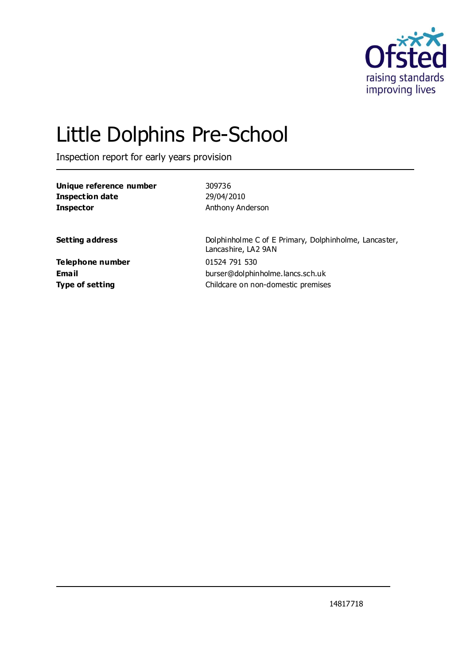

# Little Dolphins Pre-School

Inspection report for early years provision

| 309736                                                |
|-------------------------------------------------------|
| 29/04/2010                                            |
| Anthony Anderson                                      |
| Dolphinholme C of E Primary, Dolphinholme, Lancaster, |
| Lancashire, LA2 9AN                                   |
| 01524 791 530                                         |
| burser@dolphinholme.lancs.sch.uk                      |
| Childcare on non-domestic premises                    |
|                                                       |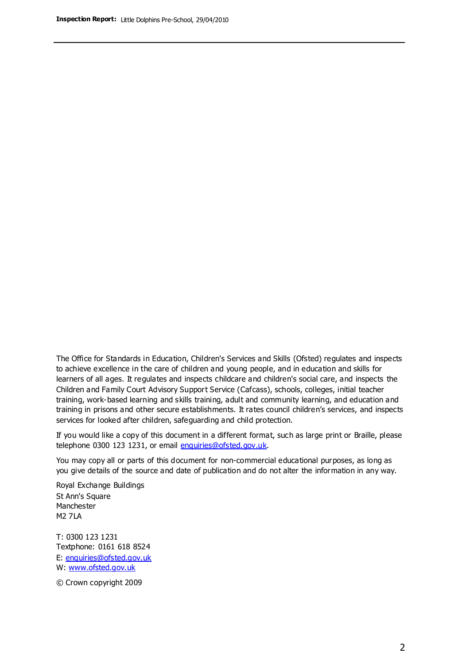The Office for Standards in Education, Children's Services and Skills (Ofsted) regulates and inspects to achieve excellence in the care of children and young people, and in education and skills for learners of all ages. It regulates and inspects childcare and children's social care, and inspects the Children and Family Court Advisory Support Service (Cafcass), schools, colleges, initial teacher training, work-based learning and skills training, adult and community learning, and education and training in prisons and other secure establishments. It rates council children's services, and inspects services for looked after children, safeguarding and child protection.

If you would like a copy of this document in a different format, such as large print or Braille, please telephone 0300 123 1231, or email enquiries@ofsted.gov.uk.

You may copy all or parts of this document for non-commercial educational purposes, as long as you give details of the source and date of publication and do not alter the information in any way.

Royal Exchange Buildings St Ann's Square Manchester M2 7LA

T: 0300 123 1231 Textphone: 0161 618 8524 E: enquiries@ofsted.gov.uk W: [www.ofsted.gov.uk](http://www.ofsted.gov.uk/)

© Crown copyright 2009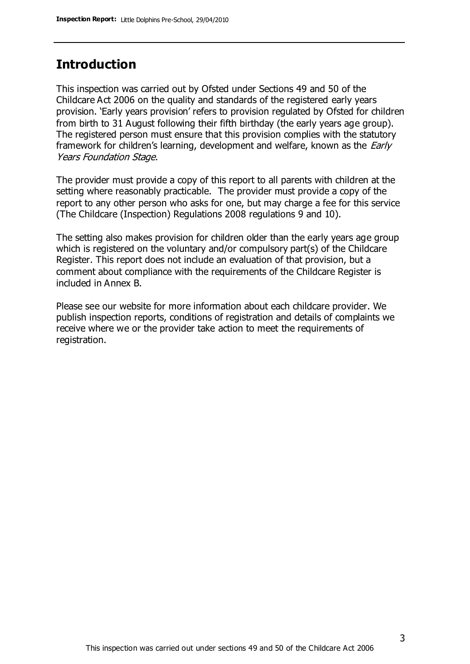## **Introduction**

This inspection was carried out by Ofsted under Sections 49 and 50 of the Childcare Act 2006 on the quality and standards of the registered early years provision. 'Early years provision' refers to provision regulated by Ofsted for children from birth to 31 August following their fifth birthday (the early years age group). The registered person must ensure that this provision complies with the statutory framework for children's learning, development and welfare, known as the *Early* Years Foundation Stage.

The provider must provide a copy of this report to all parents with children at the setting where reasonably practicable. The provider must provide a copy of the report to any other person who asks for one, but may charge a fee for this service (The Childcare (Inspection) Regulations 2008 regulations 9 and 10).

The setting also makes provision for children older than the early years age group which is registered on the voluntary and/or compulsory part(s) of the Childcare Register. This report does not include an evaluation of that provision, but a comment about compliance with the requirements of the Childcare Register is included in Annex B.

Please see our website for more information about each childcare provider. We publish inspection reports, conditions of registration and details of complaints we receive where we or the provider take action to meet the requirements of registration.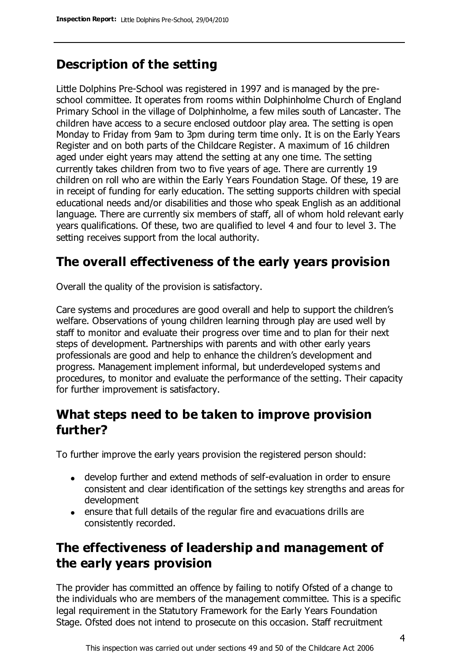# **Description of the setting**

Little Dolphins Pre-School was registered in 1997 and is managed by the preschool committee. It operates from rooms within Dolphinholme Church of England Primary School in the village of Dolphinholme, a few miles south of Lancaster. The children have access to a secure enclosed outdoor play area. The setting is open Monday to Friday from 9am to 3pm during term time only. It is on the Early Years Register and on both parts of the Childcare Register. A maximum of 16 children aged under eight years may attend the setting at any one time. The setting currently takes children from two to five years of age. There are currently 19 children on roll who are within the Early Years Foundation Stage. Of these, 19 are in receipt of funding for early education. The setting supports children with special educational needs and/or disabilities and those who speak English as an additional language. There are currently six members of staff, all of whom hold relevant early years qualifications. Of these, two are qualified to level 4 and four to level 3. The setting receives support from the local authority.

# **The overall effectiveness of the early years provision**

Overall the quality of the provision is satisfactory.

Care systems and procedures are good overall and help to support the children's welfare. Observations of young children learning through play are used well by staff to monitor and evaluate their progress over time and to plan for their next steps of development. Partnerships with parents and with other early years professionals are good and help to enhance the children's development and progress. Management implement informal, but underdeveloped systems and procedures, to monitor and evaluate the performance of the setting. Their capacity for further improvement is satisfactory.

## **What steps need to be taken to improve provision further?**

To further improve the early years provision the registered person should:

- develop further and extend methods of self-evaluation in order to ensure consistent and clear identification of the settings key strengths and areas for development
- ensure that full details of the regular fire and evacuations drills are consistently recorded.

# **The effectiveness of leadership and management of the early years provision**

The provider has committed an offence by failing to notify Ofsted of a change to the individuals who are members of the management committee. This is a specific legal requirement in the Statutory Framework for the Early Years Foundation Stage. Ofsted does not intend to prosecute on this occasion. Staff recruitment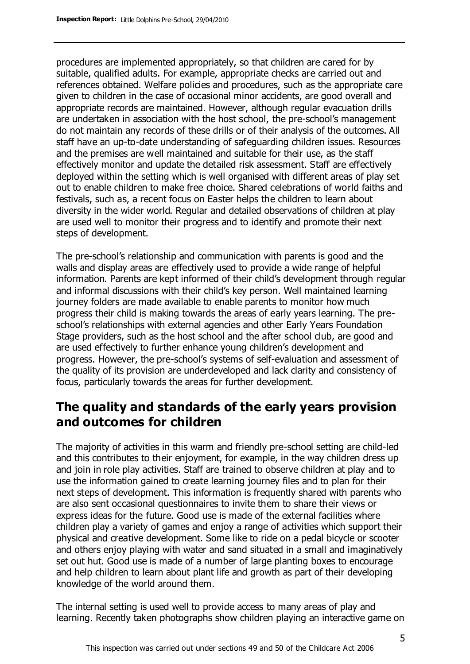procedures are implemented appropriately, so that children are cared for by suitable, qualified adults. For example, appropriate checks are carried out and references obtained. Welfare policies and procedures, such as the appropriate care given to children in the case of occasional minor accidents, are good overall and appropriate records are maintained. However, although regular evacuation drills are undertaken in association with the host school, the pre-school's management do not maintain any records of these drills or of their analysis of the outcomes. All staff have an up-to-date understanding of safeguarding children issues. Resources and the premises are well maintained and suitable for their use, as the staff effectively monitor and update the detailed risk assessment. Staff are effectively deployed within the setting which is well organised with different areas of play set out to enable children to make free choice. Shared celebrations of world faiths and festivals, such as, a recent focus on Easter helps the children to learn about diversity in the wider world. Regular and detailed observations of children at play are used well to monitor their progress and to identify and promote their next steps of development.

The pre-school's relationship and communication with parents is good and the walls and display areas are effectively used to provide a wide range of helpful information. Parents are kept informed of their child's development through regular and informal discussions with their child's key person. Well maintained learning journey folders are made available to enable parents to monitor how much progress their child is making towards the areas of early years learning. The preschool's relationships with external agencies and other Early Years Foundation Stage providers, such as the host school and the after school club, are good and are used effectively to further enhance young children's development and progress. However, the pre-school's systems of self-evaluation and assessment of the quality of its provision are underdeveloped and lack clarity and consistency of focus, particularly towards the areas for further development.

## **The quality and standards of the early years provision and outcomes for children**

The majority of activities in this warm and friendly pre-school setting are child-led and this contributes to their enjoyment, for example, in the way children dress up and join in role play activities. Staff are trained to observe children at play and to use the information gained to create learning journey files and to plan for their next steps of development. This information is frequently shared with parents who are also sent occasional questionnaires to invite them to share their views or express ideas for the future. Good use is made of the external facilities where children play a variety of games and enjoy a range of activities which support their physical and creative development. Some like to ride on a pedal bicycle or scooter and others enjoy playing with water and sand situated in a small and imaginatively set out hut. Good use is made of a number of large planting boxes to encourage and help children to learn about plant life and growth as part of their developing knowledge of the world around them.

The internal setting is used well to provide access to many areas of play and learning. Recently taken photographs show children playing an interactive game on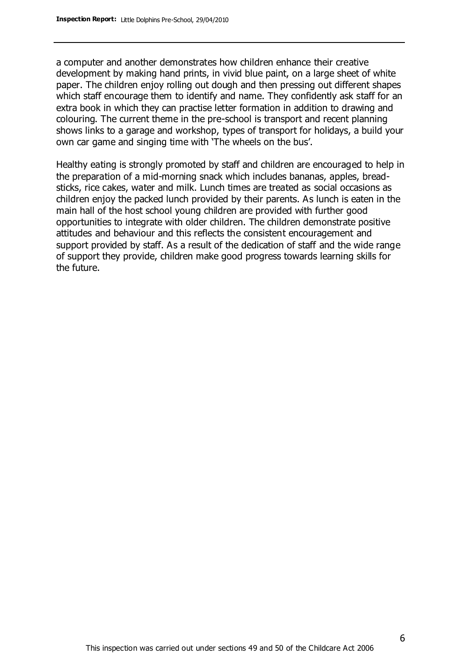a computer and another demonstrates how children enhance their creative development by making hand prints, in vivid blue paint, on a large sheet of white paper. The children enjoy rolling out dough and then pressing out different shapes which staff encourage them to identify and name. They confidently ask staff for an extra book in which they can practise letter formation in addition to drawing and colouring. The current theme in the pre-school is transport and recent planning shows links to a garage and workshop, types of transport for holidays, a build your own car game and singing time with 'The wheels on the bus'.

Healthy eating is strongly promoted by staff and children are encouraged to help in the preparation of a mid-morning snack which includes bananas, apples, breadsticks, rice cakes, water and milk. Lunch times are treated as social occasions as children enjoy the packed lunch provided by their parents. As lunch is eaten in the main hall of the host school young children are provided with further good opportunities to integrate with older children. The children demonstrate positive attitudes and behaviour and this reflects the consistent encouragement and support provided by staff. As a result of the dedication of staff and the wide range of support they provide, children make good progress towards learning skills for the future.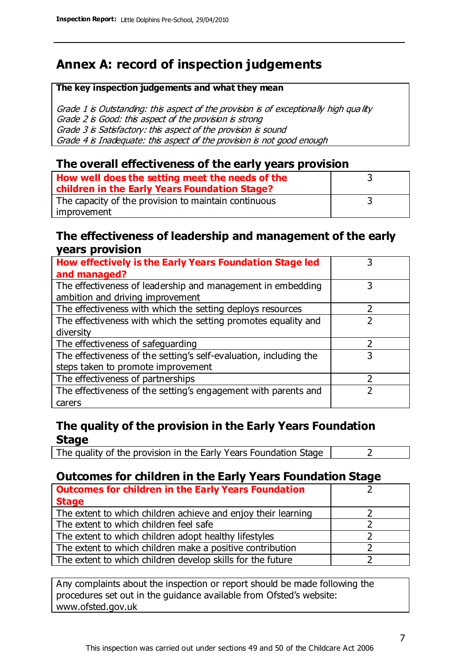# **Annex A: record of inspection judgements**

#### **The key inspection judgements and what they mean**

Grade 1 is Outstanding: this aspect of the provision is of exceptionally high quality Grade 2 is Good: this aspect of the provision is strong Grade 3 is Satisfactory: this aspect of the provision is sound Grade 4 is Inadequate: this aspect of the provision is not good enough

#### **The overall effectiveness of the early years provision**

| How well does the setting meet the needs of the<br>children in the Early Years Foundation Stage? |  |
|--------------------------------------------------------------------------------------------------|--|
| The capacity of the provision to maintain continuous                                             |  |
| improvement                                                                                      |  |

#### **The effectiveness of leadership and management of the early years provision**

| How effectively is the Early Years Foundation Stage led           |   |
|-------------------------------------------------------------------|---|
| and managed?                                                      |   |
| The effectiveness of leadership and management in embedding       | 3 |
| ambition and driving improvement                                  |   |
| The effectiveness with which the setting deploys resources        |   |
| The effectiveness with which the setting promotes equality and    |   |
| diversity                                                         |   |
| The effectiveness of safeguarding                                 | 2 |
| The effectiveness of the setting's self-evaluation, including the | 3 |
| steps taken to promote improvement                                |   |
| The effectiveness of partnerships                                 |   |
| The effectiveness of the setting's engagement with parents and    |   |
| carers                                                            |   |

### **The quality of the provision in the Early Years Foundation Stage**

The quality of the provision in the Early Years Foundation Stage  $\vert$  2

## **Outcomes for children in the Early Years Foundation Stage**

| <b>Outcomes for children in the Early Years Foundation</b>    |  |
|---------------------------------------------------------------|--|
| <b>Stage</b>                                                  |  |
| The extent to which children achieve and enjoy their learning |  |
| The extent to which children feel safe                        |  |
| The extent to which children adopt healthy lifestyles         |  |
| The extent to which children make a positive contribution     |  |
| The extent to which children develop skills for the future    |  |

Any complaints about the inspection or report should be made following the procedures set out in the guidance available from Ofsted's website: www.ofsted.gov.uk